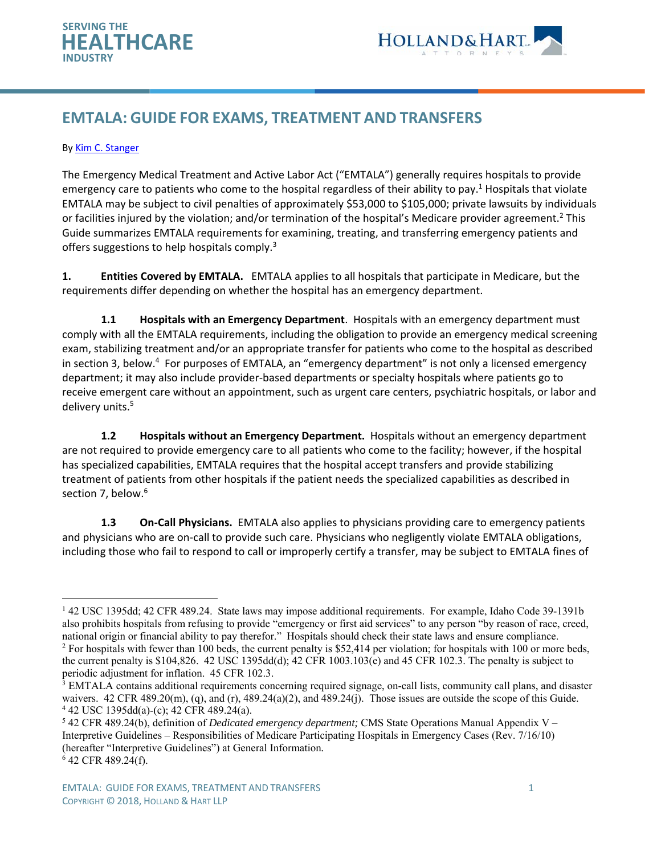



# **EMTALA: GUIDE FOR EXAMS, TREATMENT AND TRANSFERS**

#### By Kim C. Stanger

The Emergency Medical Treatment and Active Labor Act ("EMTALA") generally requires hospitals to provide emergency care to patients who come to the hospital regardless of their ability to pay.<sup>1</sup> Hospitals that violate EMTALA may be subject to civil penalties of approximately \$53,000 to \$105,000; private lawsuits by individuals or facilities injured by the violation; and/or termination of the hospital's Medicare provider agreement.<sup>2</sup> This Guide summarizes EMTALA requirements for examining, treating, and transferring emergency patients and offers suggestions to help hospitals comply.<sup>3</sup>

**1. Entities Covered by EMTALA.** EMTALA applies to all hospitals that participate in Medicare, but the requirements differ depending on whether the hospital has an emergency department.

**1.1 Hospitals with an Emergency Department**. Hospitals with an emergency department must comply with all the EMTALA requirements, including the obligation to provide an emergency medical screening exam, stabilizing treatment and/or an appropriate transfer for patients who come to the hospital as described in section 3, below.<sup>4</sup> For purposes of EMTALA, an "emergency department" is not only a licensed emergency department; it may also include provider‐based departments or specialty hospitals where patients go to receive emergent care without an appointment, such as urgent care centers, psychiatric hospitals, or labor and delivery units.<sup>5</sup>

**1.2 Hospitals without an Emergency Department.** Hospitals without an emergency department are not required to provide emergency care to all patients who come to the facility; however, if the hospital has specialized capabilities, EMTALA requires that the hospital accept transfers and provide stabilizing treatment of patients from other hospitals if the patient needs the specialized capabilities as described in section 7, below.<sup>6</sup>

**1.3 On‐Call Physicians.** EMTALA also applies to physicians providing care to emergency patients and physicians who are on‐call to provide such care. Physicians who negligently violate EMTALA obligations, including those who fail to respond to call or improperly certify a transfer, may be subject to EMTALA fines of

<sup>&</sup>lt;sup>1</sup> 42 USC 1395dd; 42 CFR 489.24. State laws may impose additional requirements. For example, Idaho Code 39-1391b also prohibits hospitals from refusing to provide "emergency or first aid services" to any person "by reason of race, creed, national origin or financial ability to pay therefor." Hospitals should check their state laws and ensure compliance. 2  $^2$  For hospitals with fewer than 100 beds, the current penalty is \$52,414 per violation; for hospitals with 100 or more beds, the current penalty is \$104,826. 42 USC 1395dd(d); 42 CFR 1003.103(e) and 45 CFR 102.3. The penalty is subject to

periodic adjustment for inflation. 45 CFR 102.3.

<sup>&</sup>lt;sup>3</sup> EMTALA contains additional requirements concerning required signage, on-call lists, community call plans, and disaster waivers.  $42 \text{ CFR } 489.20 \text{ (m)}$ , (q), and (r),  $489.24 \text{ (a)}(2)$ , and  $489.24 \text{ (i)}$ . Those issues are outside the scope of this Guide. 42 USC 1395dd(a)-(c); 42 CFR 489.24(a).

<sup>5</sup> 42 CFR 489.24(b), definition of *Dedicated emergency department;* CMS State Operations Manual Appendix V – Interpretive Guidelines – Responsibilities of Medicare Participating Hospitals in Emergency Cases (Rev. 7/16/10) (hereafter "Interpretive Guidelines") at General Information*.* 6 42 CFR 489.24(f).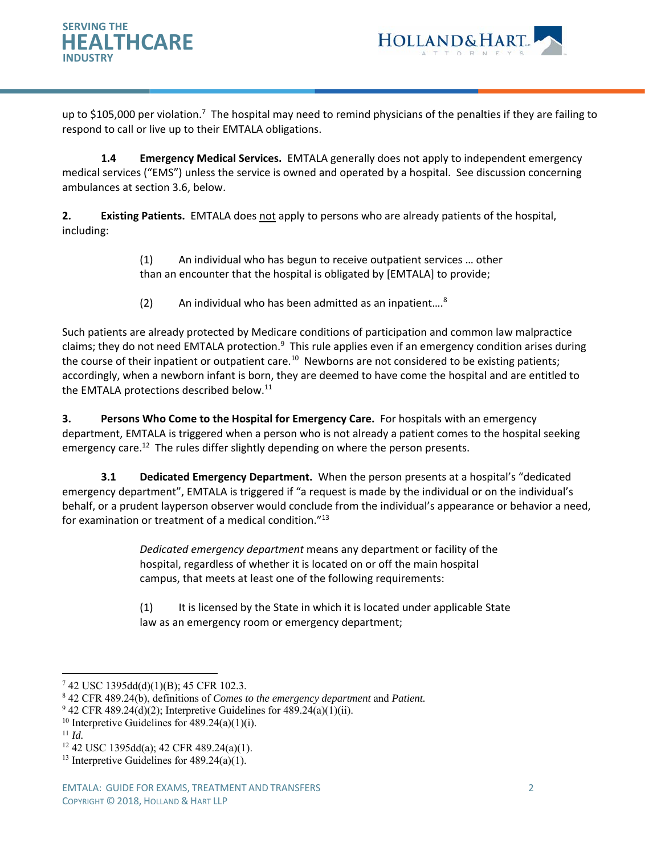



up to \$105,000 per violation.<sup>7</sup> The hospital may need to remind physicians of the penalties if they are failing to respond to call or live up to their EMTALA obligations.

**1.4 Emergency Medical Services.** EMTALA generally does not apply to independent emergency medical services ("EMS") unless the service is owned and operated by a hospital. See discussion concerning ambulances at section 3.6, below.

**2. Existing Patients.** EMTALA does not apply to persons who are already patients of the hospital, including:

> (1) An individual who has begun to receive outpatient services … other than an encounter that the hospital is obligated by [EMTALA] to provide;

 $(2)$  An individual who has been admitted as an inpatient....<sup>8</sup>

Such patients are already protected by Medicare conditions of participation and common law malpractice claims; they do not need EMTALA protection.<sup>9</sup> This rule applies even if an emergency condition arises during the course of their inpatient or outpatient care.<sup>10</sup> Newborns are not considered to be existing patients; accordingly, when a newborn infant is born, they are deemed to have come the hospital and are entitled to the EMTALA protections described below.<sup>11</sup>

**3. Persons Who Come to the Hospital for Emergency Care.** For hospitals with an emergency department, EMTALA is triggered when a person who is not already a patient comes to the hospital seeking emergency care.<sup>12</sup> The rules differ slightly depending on where the person presents.

**3.1 Dedicated Emergency Department.** When the person presents at a hospital's "dedicated emergency department", EMTALA is triggered if "a request is made by the individual or on the individual's behalf, or a prudent layperson observer would conclude from the individual's appearance or behavior a need, for examination or treatment of a medical condition."13

> *Dedicated emergency department* means any department or facility of the hospital, regardless of whether it is located on or off the main hospital campus, that meets at least one of the following requirements:

(1) It is licensed by the State in which it is located under applicable State law as an emergency room or emergency department;

- 10 Interpretive Guidelines for 489.24(a)(1)(i). 11 *Id.*
- 

<sup>7</sup> 42 USC 1395dd(d)(1)(B); 45 CFR 102.3.

<sup>8</sup> 42 CFR 489.24(b), definitions of *Comes to the emergency department* and *Patient.* 

 $942$  CFR 489.24(d)(2); Interpretive Guidelines for 489.24(a)(1)(ii).

<sup>12 42</sup> USC 1395dd(a); 42 CFR 489.24(a)(1).

<sup>&</sup>lt;sup>13</sup> Interpretive Guidelines for  $489.24(a)(1)$ .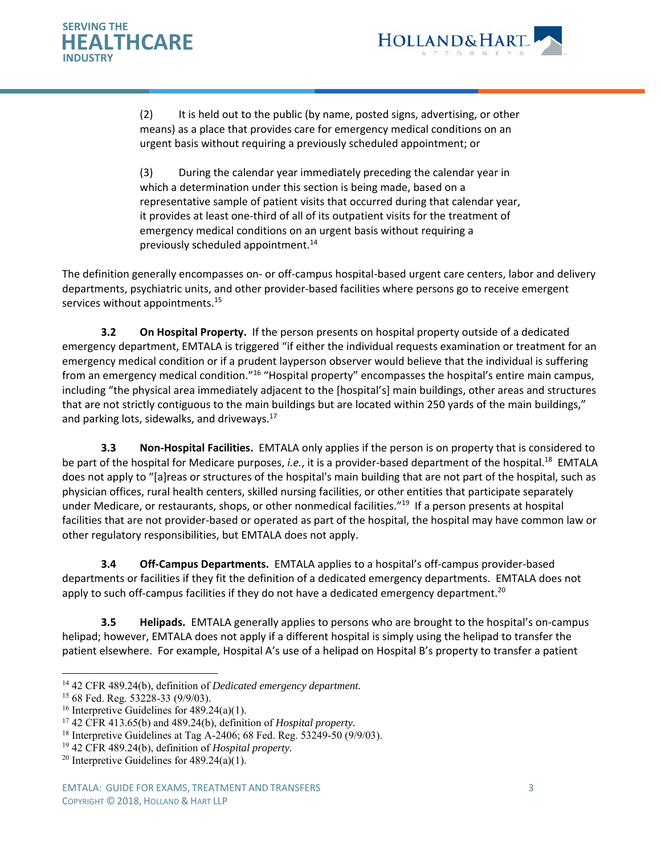



(2) It is held out to the public (by name, posted signs, advertising, or other means) as a place that provides care for emergency medical conditions on an urgent basis without requiring a previously scheduled appointment; or

(3) During the calendar year immediately preceding the calendar year in which a determination under this section is being made, based on a representative sample of patient visits that occurred during that calendar year, it provides at least one‐third of all of its outpatient visits for the treatment of emergency medical conditions on an urgent basis without requiring a previously scheduled appointment.<sup>14</sup>

The definition generally encompasses on‐ or off‐campus hospital‐based urgent care centers, labor and delivery departments, psychiatric units, and other provider‐based facilities where persons go to receive emergent services without appointments.<sup>15</sup>

**3.2** On Hospital Property. If the person presents on hospital property outside of a dedicated emergency department, EMTALA is triggered "if either the individual requests examination or treatment for an emergency medical condition or if a prudent layperson observer would believe that the individual is suffering from an emergency medical condition."16 "Hospital property" encompasses the hospital's entire main campus, including "the physical area immediately adjacent to the [hospital's] main buildings, other areas and structures that are not strictly contiguous to the main buildings but are located within 250 yards of the main buildings," and parking lots, sidewalks, and driveways. $^{17}$ 

 **3.3 Non‐Hospital Facilities.** EMTALA only applies if the person is on property that is considered to be part of the hospital for Medicare purposes, *i.e.*, it is a provider-based department of the hospital.<sup>18</sup> EMTALA does not apply to "[a]reas or structures of the hospital's main building that are not part of the hospital, such as physician offices, rural health centers, skilled nursing facilities, or other entities that participate separately under Medicare, or restaurants, shops, or other nonmedical facilities."<sup>19</sup> If a person presents at hospital facilities that are not provider‐based or operated as part of the hospital, the hospital may have common law or other regulatory responsibilities, but EMTALA does not apply.

**3.4 Off-Campus Departments.** EMTALA applies to a hospital's off-campus provider-based departments or facilities if they fit the definition of a dedicated emergency departments. EMTALA does not apply to such off-campus facilities if they do not have a dedicated emergency department.<sup>20</sup>

**3.5 Helipads.** EMTALA generally applies to persons who are brought to the hospital's on-campus helipad; however, EMTALA does not apply if a different hospital is simply using the helipad to transfer the patient elsewhere. For example, Hospital A's use of a helipad on Hospital B's property to transfer a patient

 $\overline{a}$ 14 42 CFR 489.24(b), definition of *Dedicated emergency department.* 

<sup>15 68</sup> Fed. Reg. 53228-33 (9/9/03).

<sup>&</sup>lt;sup>16</sup> Interpretive Guidelines for  $489.24(a)(1)$ .

<sup>17 42</sup> CFR 413.65(b) and 489.24(b), definition of *Hospital property.* 

<sup>&</sup>lt;sup>18</sup> Interpretive Guidelines at Tag A-2406; 68 Fed. Reg. 53249-50 (9/9/03).

<sup>19 42</sup> CFR 489.24(b), definition of *Hospital property.*

<sup>&</sup>lt;sup>20</sup> Interpretive Guidelines for  $489.24(a)(1)$ .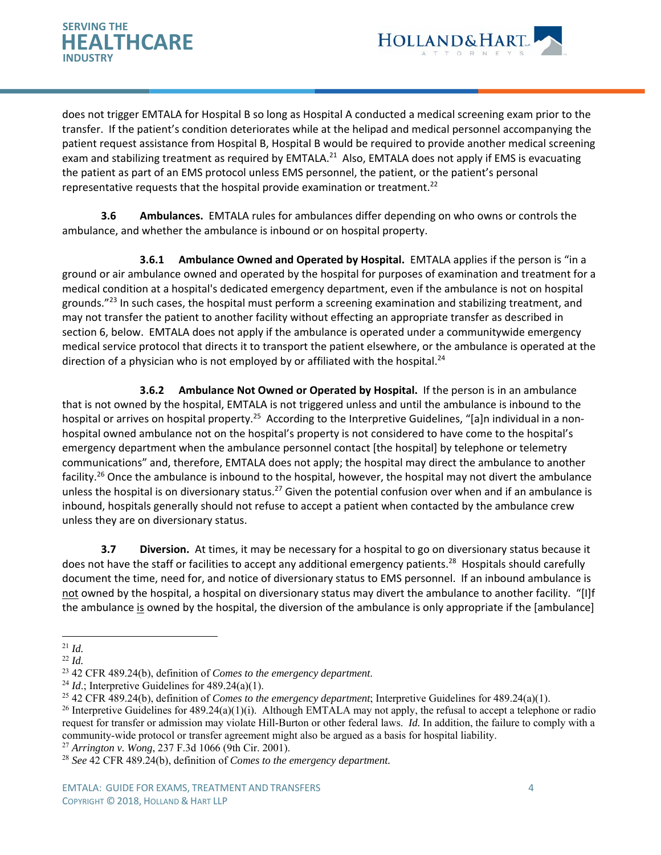



does not trigger EMTALA for Hospital B so long as Hospital A conducted a medical screening exam prior to the transfer. If the patient's condition deteriorates while at the helipad and medical personnel accompanying the patient request assistance from Hospital B, Hospital B would be required to provide another medical screening exam and stabilizing treatment as required by EMTALA.<sup>21</sup> Also, EMTALA does not apply if EMS is evacuating the patient as part of an EMS protocol unless EMS personnel, the patient, or the patient's personal representative requests that the hospital provide examination or treatment.<sup>22</sup>

**3.6 Ambulances.** EMTALA rules for ambulances differ depending on who owns or controls the ambulance, and whether the ambulance is inbound or on hospital property.

**3.6.1 Ambulance Owned and Operated by Hospital.** EMTALA applies if the person is "in a ground or air ambulance owned and operated by the hospital for purposes of examination and treatment for a medical condition at a hospital's dedicated emergency department, even if the ambulance is not on hospital grounds."<sup>23</sup> In such cases, the hospital must perform a screening examination and stabilizing treatment, and may not transfer the patient to another facility without effecting an appropriate transfer as described in section 6, below. EMTALA does not apply if the ambulance is operated under a communitywide emergency medical service protocol that directs it to transport the patient elsewhere, or the ambulance is operated at the direction of a physician who is not employed by or affiliated with the hospital.<sup>24</sup>

 **3.6.2** Ambulance Not Owned or Operated by Hospital. If the person is in an ambulance that is not owned by the hospital, EMTALA is not triggered unless and until the ambulance is inbound to the hospital or arrives on hospital property.<sup>25</sup> According to the Interpretive Guidelines, "[a]n individual in a nonhospital owned ambulance not on the hospital's property is not considered to have come to the hospital's emergency department when the ambulance personnel contact [the hospital] by telephone or telemetry communications" and, therefore, EMTALA does not apply; the hospital may direct the ambulance to another facility.<sup>26</sup> Once the ambulance is inbound to the hospital, however, the hospital may not divert the ambulance unless the hospital is on diversionary status.<sup>27</sup> Given the potential confusion over when and if an ambulance is inbound, hospitals generally should not refuse to accept a patient when contacted by the ambulance crew unless they are on diversionary status.

**3.7 Diversion.** At times, it may be necessary for a hospital to go on diversionary status because it does not have the staff or facilities to accept any additional emergency patients.<sup>28</sup> Hospitals should carefully document the time, need for, and notice of diversionary status to EMS personnel. If an inbound ambulance is not owned by the hospital, a hospital on diversionary status may divert the ambulance to another facility. "[I]f the ambulance is owned by the hospital, the diversion of the ambulance is only appropriate if the [ambulance]

<sup>21</sup> *Id.*

<sup>22</sup> *Id.*

<sup>23 42</sup> CFR 489.24(b), definition of *Comes to the emergency department*. 24 *Id*.; Interpretive Guidelines for 489.24(a)(1).

<sup>25 42</sup> CFR 489.24(b), definition of *Comes to the emergency department*; Interpretive Guidelines for 489.24(a)(1).

<sup>&</sup>lt;sup>26</sup> Interpretive Guidelines for  $489.24(a)(1)(i)$ . Although EMTALA may not apply, the refusal to accept a telephone or radio request for transfer or admission may violate Hill-Burton or other federal laws. *Id.* In addition, the failure to comply with a community-wide protocol or transfer agreement might also be argued as a basis for hospital liability.

<sup>27</sup> *Arrington v. Wong*, 237 F.3d 1066 (9th Cir. 2001).

<sup>28</sup> *See* 42 CFR 489.24(b), definition of *Comes to the emergency department.*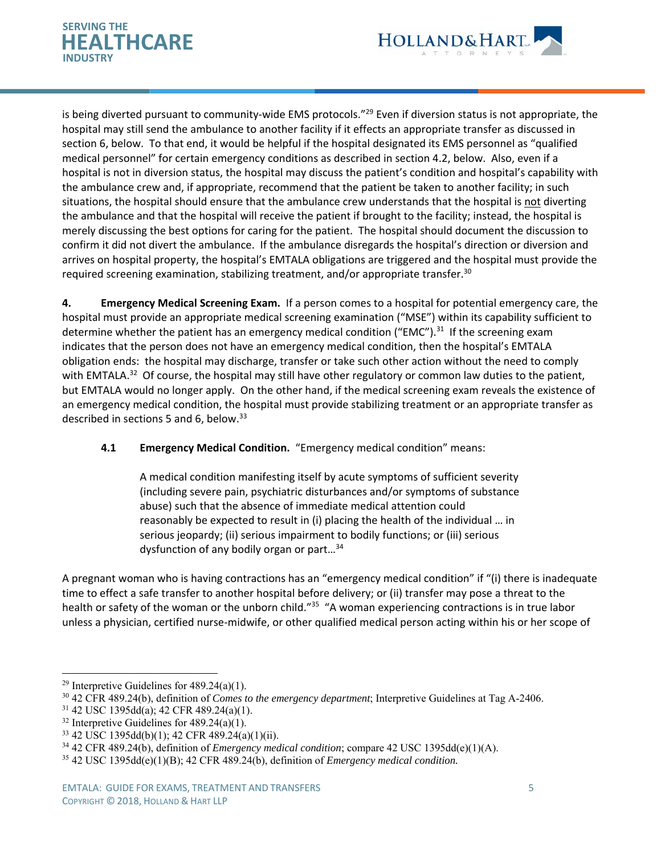



is being diverted pursuant to community-wide EMS protocols."<sup>29</sup> Even if diversion status is not appropriate, the hospital may still send the ambulance to another facility if it effects an appropriate transfer as discussed in section 6, below. To that end, it would be helpful if the hospital designated its EMS personnel as "qualified medical personnel" for certain emergency conditions as described in section 4.2, below. Also, even if a hospital is not in diversion status, the hospital may discuss the patient's condition and hospital's capability with the ambulance crew and, if appropriate, recommend that the patient be taken to another facility; in such situations, the hospital should ensure that the ambulance crew understands that the hospital is not diverting the ambulance and that the hospital will receive the patient if brought to the facility; instead, the hospital is merely discussing the best options for caring for the patient. The hospital should document the discussion to confirm it did not divert the ambulance. If the ambulance disregards the hospital's direction or diversion and arrives on hospital property, the hospital's EMTALA obligations are triggered and the hospital must provide the required screening examination, stabilizing treatment, and/or appropriate transfer.<sup>30</sup>

**4. Emergency Medical Screening Exam.** If a person comes to a hospital for potential emergency care, the hospital must provide an appropriate medical screening examination ("MSE") within its capability sufficient to determine whether the patient has an emergency medical condition ("EMC").<sup>31</sup> If the screening exam indicates that the person does not have an emergency medical condition, then the hospital's EMTALA obligation ends: the hospital may discharge, transfer or take such other action without the need to comply with EMTALA.<sup>32</sup> Of course, the hospital may still have other regulatory or common law duties to the patient, but EMTALA would no longer apply. On the other hand, if the medical screening exam reveals the existence of an emergency medical condition, the hospital must provide stabilizing treatment or an appropriate transfer as described in sections 5 and 6, below. $33$ 

## **4.1 Emergency Medical Condition.** "Emergency medical condition" means:

A medical condition manifesting itself by acute symptoms of sufficient severity (including severe pain, psychiatric disturbances and/or symptoms of substance abuse) such that the absence of immediate medical attention could reasonably be expected to result in (i) placing the health of the individual … in serious jeopardy; (ii) serious impairment to bodily functions; or (iii) serious dysfunction of any bodily organ or part…34

A pregnant woman who is having contractions has an "emergency medical condition" if "(i) there is inadequate time to effect a safe transfer to another hospital before delivery; or (ii) transfer may pose a threat to the health or safety of the woman or the unborn child."<sup>35</sup> "A woman experiencing contractions is in true labor unless a physician, certified nurse‐midwife, or other qualified medical person acting within his or her scope of

<sup>&</sup>lt;sup>29</sup> Interpretive Guidelines for  $489.24(a)(1)$ .

<sup>30 42</sup> CFR 489.24(b), definition of *Comes to the emergency department*; Interpretive Guidelines at Tag A-2406.

<sup>31 42</sup> USC 1395dd(a); 42 CFR 489.24(a)(1).

 $32$  Interpretive Guidelines for 489.24(a)(1).

<sup>33 42</sup> USC 1395dd(b)(1); 42 CFR 489.24(a)(1)(ii).

<sup>34 42</sup> CFR 489.24(b), definition of *Emergency medical condition*; compare 42 USC 1395dd(e)(1)(A).

<sup>35 42</sup> USC 1395dd(e)(1)(B); 42 CFR 489.24(b), definition of *Emergency medical condition.*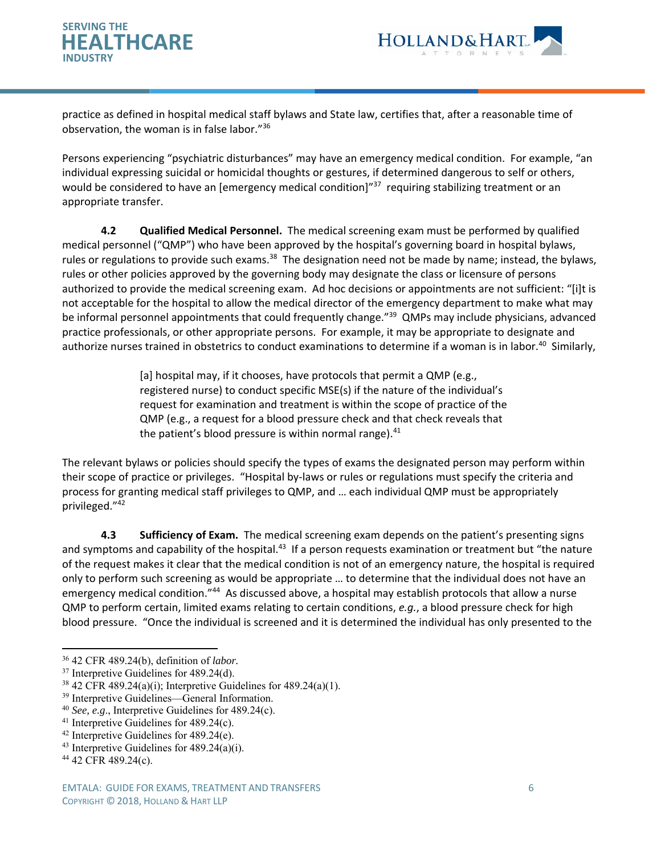



practice as defined in hospital medical staff bylaws and State law, certifies that, after a reasonable time of observation, the woman is in false labor."36

Persons experiencing "psychiatric disturbances" may have an emergency medical condition. For example, "an individual expressing suicidal or homicidal thoughts or gestures, if determined dangerous to self or others, would be considered to have an [emergency medical condition]<sup>"37</sup> requiring stabilizing treatment or an appropriate transfer.

**4.2 Qualified Medical Personnel.** The medical screening exam must be performed by qualified medical personnel ("QMP") who have been approved by the hospital's governing board in hospital bylaws, rules or regulations to provide such exams.<sup>38</sup> The designation need not be made by name; instead, the bylaws, rules or other policies approved by the governing body may designate the class or licensure of persons authorized to provide the medical screening exam. Ad hoc decisions or appointments are not sufficient: "[i]t is not acceptable for the hospital to allow the medical director of the emergency department to make what may be informal personnel appointments that could frequently change."<sup>39</sup> QMPs may include physicians, advanced practice professionals, or other appropriate persons. For example, it may be appropriate to designate and authorize nurses trained in obstetrics to conduct examinations to determine if a woman is in labor.<sup>40</sup> Similarly,

> [a] hospital may, if it chooses, have protocols that permit a QMP (e.g., registered nurse) to conduct specific MSE(s) if the nature of the individual's request for examination and treatment is within the scope of practice of the QMP (e.g., a request for a blood pressure check and that check reveals that the patient's blood pressure is within normal range).<sup>41</sup>

The relevant bylaws or policies should specify the types of exams the designated person may perform within their scope of practice or privileges. "Hospital by‐laws or rules or regulations must specify the criteria and process for granting medical staff privileges to QMP, and … each individual QMP must be appropriately privileged."42

**4.3 Sufficiency of Exam.** The medical screening exam depends on the patient's presenting signs and symptoms and capability of the hospital.<sup>43</sup> If a person requests examination or treatment but "the nature of the request makes it clear that the medical condition is not of an emergency nature, the hospital is required only to perform such screening as would be appropriate … to determine that the individual does not have an emergency medical condition."<sup>44</sup> As discussed above, a hospital may establish protocols that allow a nurse QMP to perform certain, limited exams relating to certain conditions, *e.g.*, a blood pressure check for high blood pressure. "Once the individual is screened and it is determined the individual has only presented to the

<sup>36 42</sup> CFR 489.24(b), definition of *labor.*

<sup>37</sup> Interpretive Guidelines for 489.24(d).

 $38\,42$  CFR 489.24(a)(i); Interpretive Guidelines for 489.24(a)(1).

<sup>39</sup> Interpretive Guidelines—General Information.

<sup>40</sup> *See, e.g.*, Interpretive Guidelines for 489.24(c).<br><sup>41</sup> Interpretive Guidelines for 489.24(c).<br><sup>42</sup> Interpretive Guidelines for 489.24(e).

<sup>&</sup>lt;sup>43</sup> Interpretive Guidelines for  $489.24(a)(i)$ .<br><sup>44</sup> 42 CFR 489.24(c).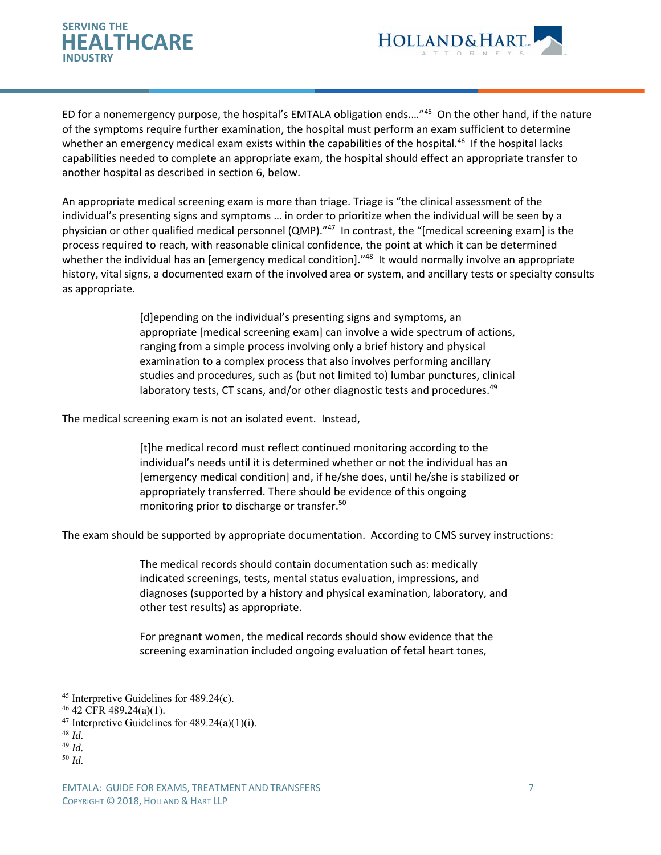



ED for a nonemergency purpose, the hospital's EMTALA obligation ends.…"45 On the other hand, if the nature of the symptoms require further examination, the hospital must perform an exam sufficient to determine whether an emergency medical exam exists within the capabilities of the hospital.<sup>46</sup> If the hospital lacks capabilities needed to complete an appropriate exam, the hospital should effect an appropriate transfer to another hospital as described in section 6, below.

An appropriate medical screening exam is more than triage. Triage is "the clinical assessment of the individual's presenting signs and symptoms … in order to prioritize when the individual will be seen by a physician or other qualified medical personnel (QMP)."<sup>47</sup> In contrast, the "[medical screening exam] is the process required to reach, with reasonable clinical confidence, the point at which it can be determined whether the individual has an [emergency medical condition].<sup>"48</sup> It would normally involve an appropriate history, vital signs, a documented exam of the involved area or system, and ancillary tests or specialty consults as appropriate.

> [d]epending on the individual's presenting signs and symptoms, an appropriate [medical screening exam] can involve a wide spectrum of actions, ranging from a simple process involving only a brief history and physical examination to a complex process that also involves performing ancillary studies and procedures, such as (but not limited to) lumbar punctures, clinical laboratory tests, CT scans, and/or other diagnostic tests and procedures.<sup>49</sup>

The medical screening exam is not an isolated event. Instead,

[t]he medical record must reflect continued monitoring according to the individual's needs until it is determined whether or not the individual has an [emergency medical condition] and, if he/she does, until he/she is stabilized or appropriately transferred. There should be evidence of this ongoing monitoring prior to discharge or transfer.<sup>50</sup>

The exam should be supported by appropriate documentation. According to CMS survey instructions:

The medical records should contain documentation such as: medically indicated screenings, tests, mental status evaluation, impressions, and diagnoses (supported by a history and physical examination, laboratory, and other test results) as appropriate.

For pregnant women, the medical records should show evidence that the screening examination included ongoing evaluation of fetal heart tones,

- <sup>47</sup> Interpretive Guidelines for  $489.24(a)(1)(i)$ .
- <sup>48</sup> *Id.*

- <sup>49</sup> *Id.*
- <sup>50</sup> *Id.*

 $45$  Interpretive Guidelines for  $489.24(c)$ .

<sup>46 42</sup> CFR 489.24(a)(1).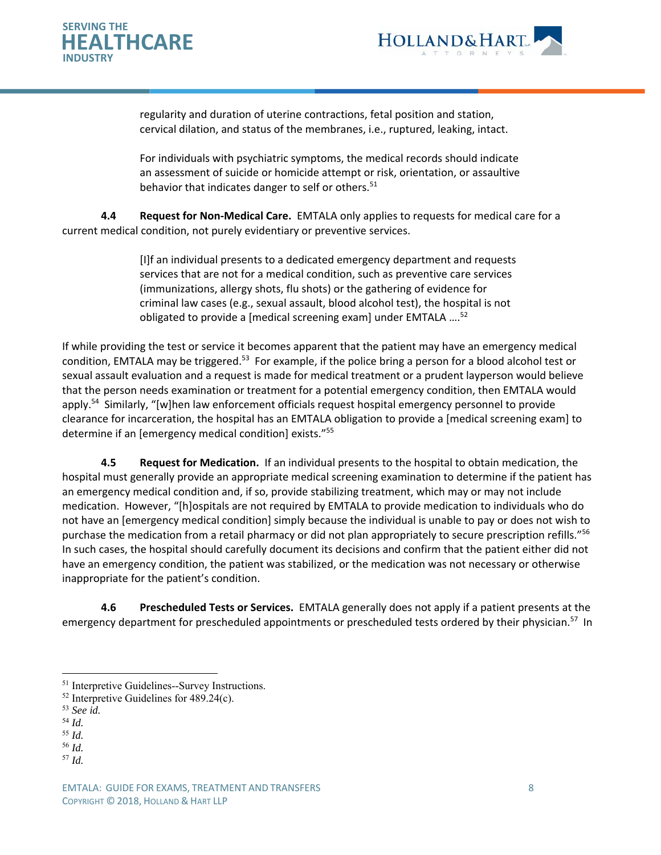



regularity and duration of uterine contractions, fetal position and station, cervical dilation, and status of the membranes, i.e., ruptured, leaking, intact.

For individuals with psychiatric symptoms, the medical records should indicate an assessment of suicide or homicide attempt or risk, orientation, or assaultive behavior that indicates danger to self or others.<sup>51</sup>

**4.4 Request for Non‐Medical Care.** EMTALA only applies to requests for medical care for a current medical condition, not purely evidentiary or preventive services.

> [I]f an individual presents to a dedicated emergency department and requests services that are not for a medical condition, such as preventive care services (immunizations, allergy shots, flu shots) or the gathering of evidence for criminal law cases (e.g., sexual assault, blood alcohol test), the hospital is not obligated to provide a [medical screening exam] under EMTALA ....<sup>52</sup>

If while providing the test or service it becomes apparent that the patient may have an emergency medical condition, EMTALA may be triggered.<sup>53</sup> For example, if the police bring a person for a blood alcohol test or sexual assault evaluation and a request is made for medical treatment or a prudent layperson would believe that the person needs examination or treatment for a potential emergency condition, then EMTALA would apply.<sup>54</sup> Similarly, "[w]hen law enforcement officials request hospital emergency personnel to provide clearance for incarceration, the hospital has an EMTALA obligation to provide a [medical screening exam] to determine if an [emergency medical condition] exists."55

 **4.5 Request for Medication.** If an individual presents to the hospital to obtain medication, the hospital must generally provide an appropriate medical screening examination to determine if the patient has an emergency medical condition and, if so, provide stabilizing treatment, which may or may not include medication. However, "[h]ospitals are not required by EMTALA to provide medication to individuals who do not have an [emergency medical condition] simply because the individual is unable to pay or does not wish to purchase the medication from a retail pharmacy or did not plan appropriately to secure prescription refills."56 In such cases, the hospital should carefully document its decisions and confirm that the patient either did not have an emergency condition, the patient was stabilized, or the medication was not necessary or otherwise inappropriate for the patient's condition.

**4.6 Prescheduled Tests or Services.** EMTALA generally does not apply if a patient presents at the emergency department for prescheduled appointments or prescheduled tests ordered by their physician.<sup>57</sup> In

<sup>51</sup> Interpretive Guidelines--Survey Instructions.

 $52$  Interpretive Guidelines for 489.24(c).

<sup>53</sup> *See id.*

<sup>54</sup> *Id.*

<sup>55</sup> *Id.*

<sup>56</sup> *Id.*

<sup>57</sup> *Id.*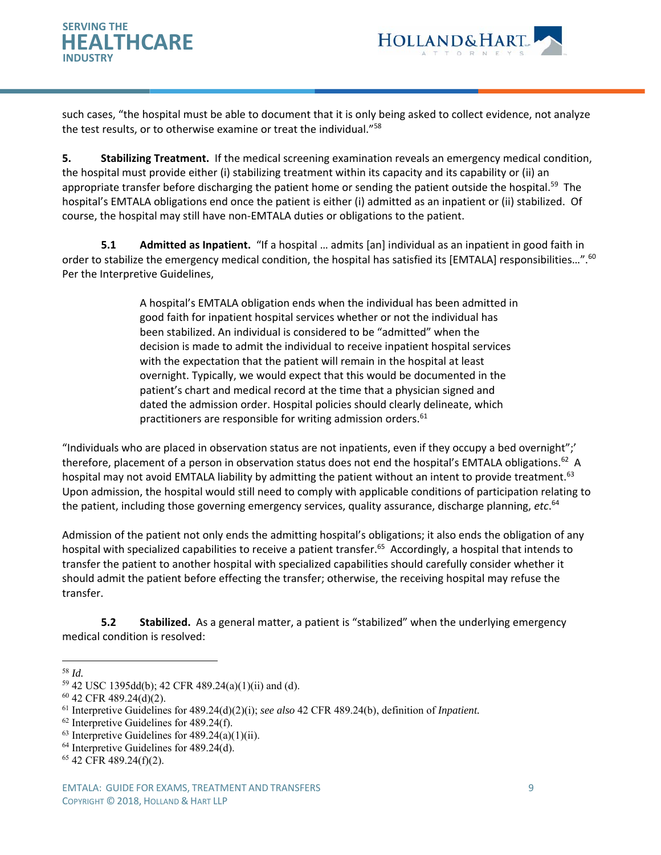



such cases, "the hospital must be able to document that it is only being asked to collect evidence, not analyze the test results, or to otherwise examine or treat the individual."<sup>58</sup>

**5. Stabilizing Treatment.** If the medical screening examination reveals an emergency medical condition, the hospital must provide either (i) stabilizing treatment within its capacity and its capability or (ii) an appropriate transfer before discharging the patient home or sending the patient outside the hospital.<sup>59</sup> The hospital's EMTALA obligations end once the patient is either (i) admitted as an inpatient or (ii) stabilized. Of course, the hospital may still have non‐EMTALA duties or obligations to the patient.

**5.1 Admitted as Inpatient.** "If a hospital … admits [an] individual as an inpatient in good faith in order to stabilize the emergency medical condition, the hospital has satisfied its [EMTALA] responsibilities...".<sup>60</sup> Per the Interpretive Guidelines,

> A hospital's EMTALA obligation ends when the individual has been admitted in good faith for inpatient hospital services whether or not the individual has been stabilized. An individual is considered to be "admitted" when the decision is made to admit the individual to receive inpatient hospital services with the expectation that the patient will remain in the hospital at least overnight. Typically, we would expect that this would be documented in the patient's chart and medical record at the time that a physician signed and dated the admission order. Hospital policies should clearly delineate, which practitioners are responsible for writing admission orders.<sup>61</sup>

"Individuals who are placed in observation status are not inpatients, even if they occupy a bed overnight";' therefore, placement of a person in observation status does not end the hospital's EMTALA obligations.<sup>62</sup> A hospital may not avoid EMTALA liability by admitting the patient without an intent to provide treatment.<sup>63</sup> Upon admission, the hospital would still need to comply with applicable conditions of participation relating to the patient, including those governing emergency services, quality assurance, discharge planning, *etc*. 64

Admission of the patient not only ends the admitting hospital's obligations; it also ends the obligation of any hospital with specialized capabilities to receive a patient transfer.<sup>65</sup> Accordingly, a hospital that intends to transfer the patient to another hospital with specialized capabilities should carefully consider whether it should admit the patient before effecting the transfer; otherwise, the receiving hospital may refuse the transfer.

**5.2 Stabilized.** As a general matter, a patient is "stabilized" when the underlying emergency medical condition is resolved:

 $\overline{a}$ <sup>58</sup> *Id.*

<sup>59 42</sup> USC 1395dd(b); 42 CFR 489.24(a)(1)(ii) and (d).

 $60$  42 CFR 489.24(d)(2).

<sup>61</sup> Interpretive Guidelines for 489.24(d)(2)(i); *see also* 42 CFR 489.24(b), definition of *Inpatient.*

 $62$  Interpretive Guidelines for 489.24(f).

 $63$  Interpretive Guidelines for  $489.24(a)(1)(ii)$ .

 $64$  Interpretive Guidelines for 489.24(d).

<sup>65 42</sup> CFR 489.24(f)(2).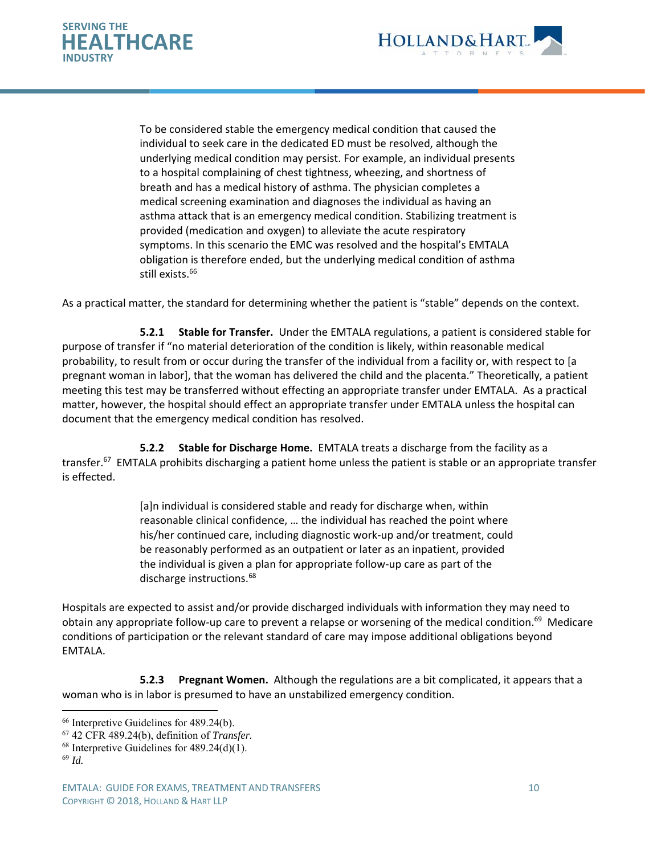



To be considered stable the emergency medical condition that caused the individual to seek care in the dedicated ED must be resolved, although the underlying medical condition may persist. For example, an individual presents to a hospital complaining of chest tightness, wheezing, and shortness of breath and has a medical history of asthma. The physician completes a medical screening examination and diagnoses the individual as having an asthma attack that is an emergency medical condition. Stabilizing treatment is provided (medication and oxygen) to alleviate the acute respiratory symptoms. In this scenario the EMC was resolved and the hospital's EMTALA obligation is therefore ended, but the underlying medical condition of asthma still exists.<sup>66</sup>

As a practical matter, the standard for determining whether the patient is "stable" depends on the context.

**5.2.1 Stable for Transfer.** Under the EMTALA regulations, a patient is considered stable for purpose of transfer if "no material deterioration of the condition is likely, within reasonable medical probability, to result from or occur during the transfer of the individual from a facility or, with respect to [a pregnant woman in labor], that the woman has delivered the child and the placenta." Theoretically, a patient meeting this test may be transferred without effecting an appropriate transfer under EMTALA. As a practical matter, however, the hospital should effect an appropriate transfer under EMTALA unless the hospital can document that the emergency medical condition has resolved.

 **5.2.2 Stable for Discharge Home.** EMTALA treats a discharge from the facility as a transfer.<sup>67</sup> EMTALA prohibits discharging a patient home unless the patient is stable or an appropriate transfer is effected.

> [a]n individual is considered stable and ready for discharge when, within reasonable clinical confidence, … the individual has reached the point where his/her continued care, including diagnostic work‐up and/or treatment, could be reasonably performed as an outpatient or later as an inpatient, provided the individual is given a plan for appropriate follow‐up care as part of the discharge instructions.<sup>68</sup>

Hospitals are expected to assist and/or provide discharged individuals with information they may need to obtain any appropriate follow-up care to prevent a relapse or worsening of the medical condition.<sup>69</sup> Medicare conditions of participation or the relevant standard of care may impose additional obligations beyond EMTALA.

 **5.2.3 Pregnant Women.** Although the regulations are a bit complicated, it appears that a woman who is in labor is presumed to have an unstabilized emergency condition.

<sup>&</sup>lt;sup>66</sup> Interpretive Guidelines for 489.24(b).

<sup>67 42</sup> CFR 489.24(b), definition of *Transfer.*

 $68$  Interpretive Guidelines for  $489.24(d)(1)$ .

<sup>69</sup> *Id.*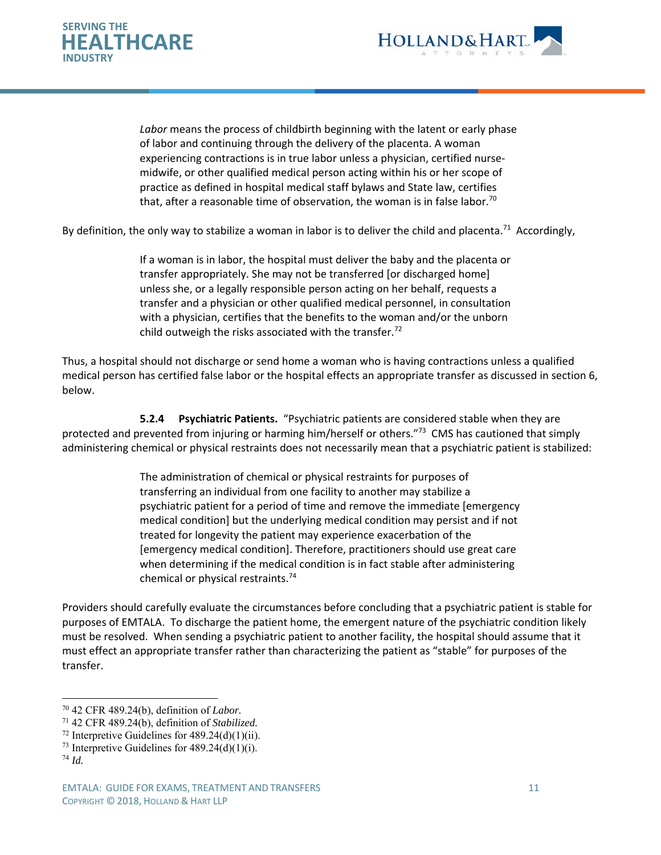



*Labor* means the process of childbirth beginning with the latent or early phase of labor and continuing through the delivery of the placenta. A woman experiencing contractions is in true labor unless a physician, certified nurse‐ midwife, or other qualified medical person acting within his or her scope of practice as defined in hospital medical staff bylaws and State law, certifies that, after a reasonable time of observation, the woman is in false labor.<sup>70</sup>

By definition, the only way to stabilize a woman in labor is to deliver the child and placenta.<sup>71</sup> Accordingly,

If a woman is in labor, the hospital must deliver the baby and the placenta or transfer appropriately. She may not be transferred [or discharged home] unless she, or a legally responsible person acting on her behalf, requests a transfer and a physician or other qualified medical personnel, in consultation with a physician, certifies that the benefits to the woman and/or the unborn child outweigh the risks associated with the transfer.<sup>72</sup>

Thus, a hospital should not discharge or send home a woman who is having contractions unless a qualified medical person has certified false labor or the hospital effects an appropriate transfer as discussed in section 6, below.

 **5.2.4 Psychiatric Patients.** "Psychiatric patients are considered stable when they are protected and prevented from injuring or harming him/herself or others."<sup>73</sup> CMS has cautioned that simply administering chemical or physical restraints does not necessarily mean that a psychiatric patient is stabilized:

> The administration of chemical or physical restraints for purposes of transferring an individual from one facility to another may stabilize a psychiatric patient for a period of time and remove the immediate [emergency medical condition] but the underlying medical condition may persist and if not treated for longevity the patient may experience exacerbation of the [emergency medical condition]. Therefore, practitioners should use great care when determining if the medical condition is in fact stable after administering chemical or physical restraints.74

Providers should carefully evaluate the circumstances before concluding that a psychiatric patient is stable for purposes of EMTALA. To discharge the patient home, the emergent nature of the psychiatric condition likely must be resolved. When sending a psychiatric patient to another facility, the hospital should assume that it must effect an appropriate transfer rather than characterizing the patient as "stable" for purposes of the transfer.

<sup>70 42</sup> CFR 489.24(b), definition of *Labor.*

<sup>71 42</sup> CFR 489.24(b), definition of *Stabilized.*

<sup>&</sup>lt;sup>72</sup> Interpretive Guidelines for  $489.24(d)(1)(ii)$ .

<sup>&</sup>lt;sup>73</sup> Interpretive Guidelines for  $489.24(d)(1)(i)$ . <sup>74</sup> *Id.*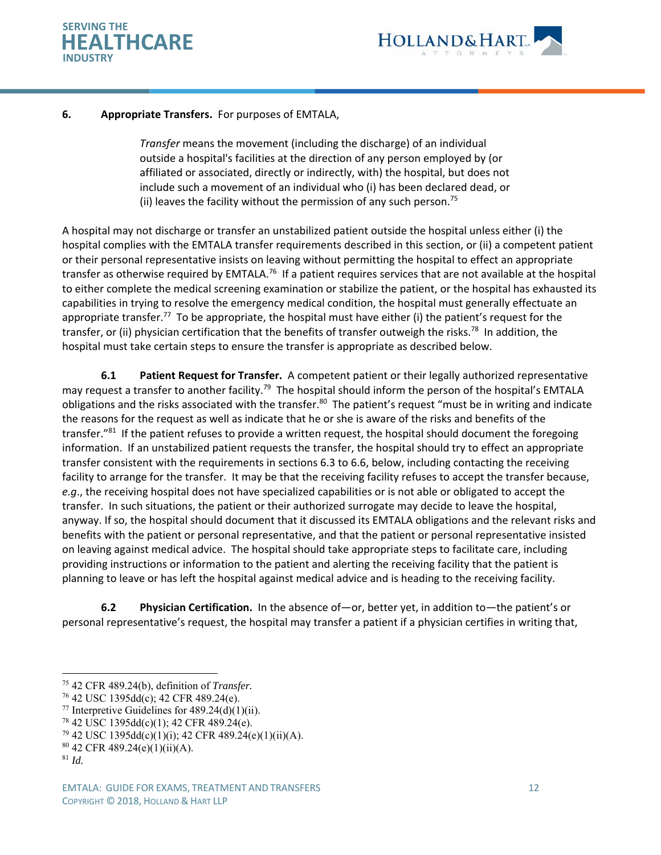



## **6. Appropriate Transfers.** For purposes of EMTALA,

*Transfer* means the movement (including the discharge) of an individual outside a hospital's facilities at the direction of any person employed by (or affiliated or associated, directly or indirectly, with) the hospital, but does not include such a movement of an individual who (i) has been declared dead, or (ii) leaves the facility without the permission of any such person.<sup>75</sup>

A hospital may not discharge or transfer an unstabilized patient outside the hospital unless either (i) the hospital complies with the EMTALA transfer requirements described in this section, or (ii) a competent patient or their personal representative insists on leaving without permitting the hospital to effect an appropriate transfer as otherwise required by EMTALA.<sup>76</sup> If a patient requires services that are not available at the hospital to either complete the medical screening examination or stabilize the patient, or the hospital has exhausted its capabilities in trying to resolve the emergency medical condition, the hospital must generally effectuate an appropriate transfer.<sup>77</sup> To be appropriate, the hospital must have either (i) the patient's request for the transfer, or (ii) physician certification that the benefits of transfer outweigh the risks.<sup>78</sup> In addition, the hospital must take certain steps to ensure the transfer is appropriate as described below.

**6.1** Patient Request for Transfer. A competent patient or their legally authorized representative may request a transfer to another facility.<sup>79</sup> The hospital should inform the person of the hospital's EMTALA obligations and the risks associated with the transfer.<sup>80</sup> The patient's request "must be in writing and indicate the reasons for the request as well as indicate that he or she is aware of the risks and benefits of the transfer."<sup>81</sup> If the patient refuses to provide a written request, the hospital should document the foregoing information. If an unstabilized patient requests the transfer, the hospital should try to effect an appropriate transfer consistent with the requirements in sections 6.3 to 6.6, below, including contacting the receiving facility to arrange for the transfer. It may be that the receiving facility refuses to accept the transfer because, *e.g*., the receiving hospital does not have specialized capabilities or is not able or obligated to accept the transfer. In such situations, the patient or their authorized surrogate may decide to leave the hospital, anyway. If so, the hospital should document that it discussed its EMTALA obligations and the relevant risks and benefits with the patient or personal representative, and that the patient or personal representative insisted on leaving against medical advice. The hospital should take appropriate steps to facilitate care, including providing instructions or information to the patient and alerting the receiving facility that the patient is planning to leave or has left the hospital against medical advice and is heading to the receiving facility.

**6.2 Physician Certification.** In the absence of—or, better yet, in addition to—the patient's or personal representative's request, the hospital may transfer a patient if a physician certifies in writing that,

<sup>75 42</sup> CFR 489.24(b), definition of *Transfer.*

 $76$  42 USC 1395dd(c); 42 CFR 489.24(e).

<sup>&</sup>lt;sup>77</sup> Interpretive Guidelines for  $489.24(d)(1)(ii)$ .

<sup>78 42</sup> USC 1395dd(c)(1); 42 CFR 489.24(e).

 $79$  42 USC 1395dd(c)(1)(i); 42 CFR 489.24(e)(1)(ii)(A).

<sup>80 42</sup> CFR 489.24(e)(1)(ii)(A).

<sup>81</sup> *Id.*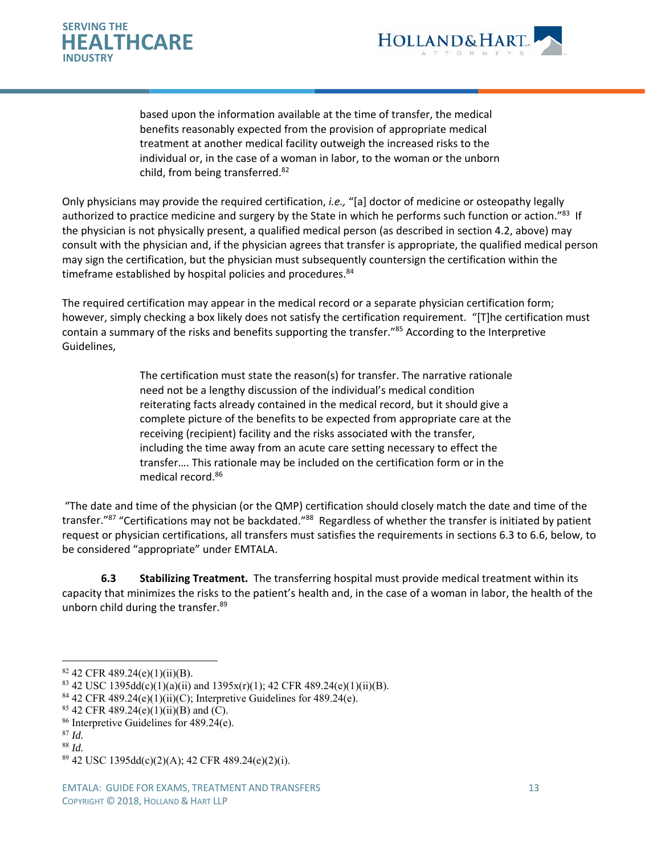



based upon the information available at the time of transfer, the medical benefits reasonably expected from the provision of appropriate medical treatment at another medical facility outweigh the increased risks to the individual or, in the case of a woman in labor, to the woman or the unborn child, from being transferred.<sup>82</sup>

Only physicians may provide the required certification, *i.e.,* "[a] doctor of medicine or osteopathy legally authorized to practice medicine and surgery by the State in which he performs such function or action."83 If the physician is not physically present, a qualified medical person (as described in section 4.2, above) may consult with the physician and, if the physician agrees that transfer is appropriate, the qualified medical person may sign the certification, but the physician must subsequently countersign the certification within the timeframe established by hospital policies and procedures.<sup>84</sup>

The required certification may appear in the medical record or a separate physician certification form; however, simply checking a box likely does not satisfy the certification requirement. "[T]he certification must contain a summary of the risks and benefits supporting the transfer."<sup>85</sup> According to the Interpretive Guidelines,

> The certification must state the reason(s) for transfer. The narrative rationale need not be a lengthy discussion of the individual's medical condition reiterating facts already contained in the medical record, but it should give a complete picture of the benefits to be expected from appropriate care at the receiving (recipient) facility and the risks associated with the transfer, including the time away from an acute care setting necessary to effect the transfer…. This rationale may be included on the certification form or in the medical record.86

 "The date and time of the physician (or the QMP) certification should closely match the date and time of the transfer."87 "Certifications may not be backdated."88 Regardless of whether the transfer is initiated by patient request or physician certifications, all transfers must satisfies the requirements in sections 6.3 to 6.6, below, to be considered "appropriate" under EMTALA.

**6.3 Stabilizing Treatment.** The transferring hospital must provide medical treatment within its capacity that minimizes the risks to the patient's health and, in the case of a woman in labor, the health of the unborn child during the transfer.<sup>89</sup>

 $82$  42 CFR 489.24(e)(1)(ii)(B).

<sup>&</sup>lt;sup>83</sup> 42 USC 1395dd(c)(1)(a)(ii) and 1395x(r)(1); 42 CFR 489.24(e)(1)(ii)(B).

<sup>&</sup>lt;sup>84</sup> 42 CFR 489.24(e)(1)(ii)(C); Interpretive Guidelines for 489.24(e).

<sup>85 42</sup> CFR 489.24(e)(1)(ii)(B) and (C).

<sup>86</sup> Interpretive Guidelines for 489.24(e).

<sup>87</sup> *Id.*

<sup>88</sup> *Id.*

<sup>89 42</sup> USC 1395dd(c)(2)(A); 42 CFR 489.24(e)(2)(i).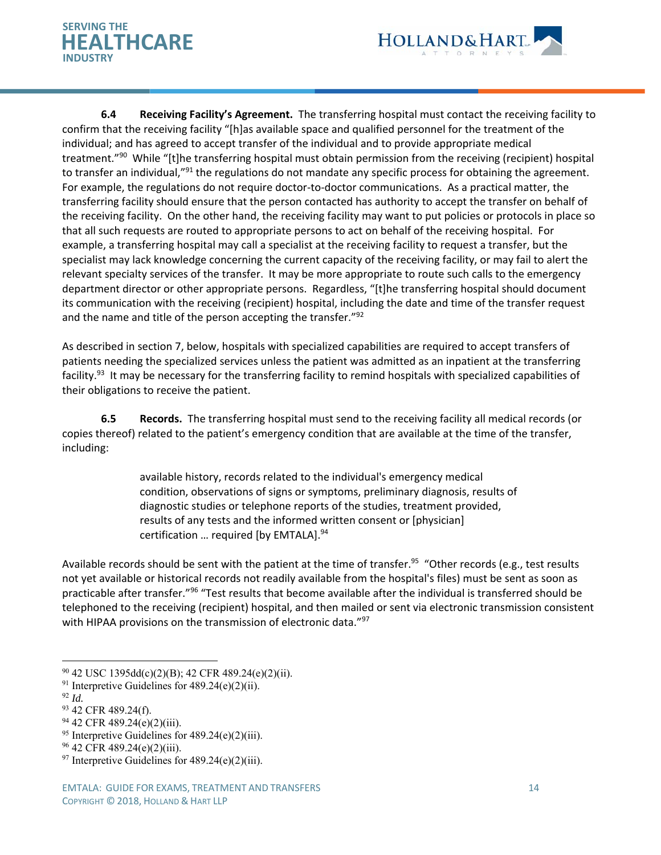



**6.4 Receiving Facility's Agreement.** The transferring hospital must contact the receiving facility to confirm that the receiving facility "[h]as available space and qualified personnel for the treatment of the individual; and has agreed to accept transfer of the individual and to provide appropriate medical treatment."<sup>90</sup> While "[t]he transferring hospital must obtain permission from the receiving (recipient) hospital to transfer an individual,"<sup>91</sup> the regulations do not mandate any specific process for obtaining the agreement. For example, the regulations do not require doctor-to-doctor communications. As a practical matter, the transferring facility should ensure that the person contacted has authority to accept the transfer on behalf of the receiving facility. On the other hand, the receiving facility may want to put policies or protocols in place so that all such requests are routed to appropriate persons to act on behalf of the receiving hospital. For example, a transferring hospital may call a specialist at the receiving facility to request a transfer, but the specialist may lack knowledge concerning the current capacity of the receiving facility, or may fail to alert the relevant specialty services of the transfer. It may be more appropriate to route such calls to the emergency department director or other appropriate persons. Regardless, "[t]he transferring hospital should document its communication with the receiving (recipient) hospital, including the date and time of the transfer request and the name and title of the person accepting the transfer."<sup>92</sup>

As described in section 7, below, hospitals with specialized capabilities are required to accept transfers of patients needing the specialized services unless the patient was admitted as an inpatient at the transferring facility.<sup>93</sup> It may be necessary for the transferring facility to remind hospitals with specialized capabilities of their obligations to receive the patient.

 **6.5 Records.** The transferring hospital must send to the receiving facility all medical records (or copies thereof) related to the patient's emergency condition that are available at the time of the transfer, including:

> available history, records related to the individual's emergency medical condition, observations of signs or symptoms, preliminary diagnosis, results of diagnostic studies or telephone reports of the studies, treatment provided, results of any tests and the informed written consent or [physician] certification ... required [by EMTALA].<sup>94</sup>

Available records should be sent with the patient at the time of transfer.<sup>95</sup> "Other records (e.g., test results not yet available or historical records not readily available from the hospital's files) must be sent as soon as practicable after transfer."96 "Test results that become available after the individual is transferred should be telephoned to the receiving (recipient) hospital, and then mailed or sent via electronic transmission consistent with HIPAA provisions on the transmission of electronic data."<sup>97</sup>

 $\overline{a}$ 

<sup>95</sup> Interpretive Guidelines for  $489.24(e)(2)(iii)$ .

 $90$  42 USC 1395dd(c)(2)(B); 42 CFR 489.24(e)(2)(ii).

<sup>&</sup>lt;sup>91</sup> Interpretive Guidelines for  $489.24(e)(2)(ii)$ .

<sup>92</sup> *Id.*

<sup>93 42</sup> CFR 489.24(f).

<sup>94 42</sup> CFR 489.24(e)(2)(iii).

<sup>96 42</sup> CFR 489.24(e)(2)(iii).

<sup>&</sup>lt;sup>97</sup> Interpretive Guidelines for  $489.24(e)(2)(iii)$ .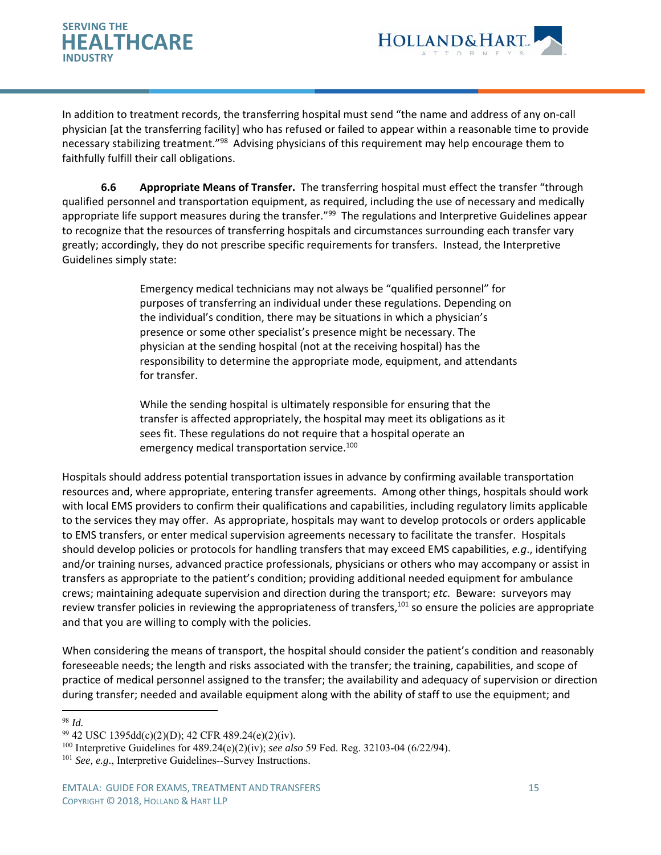



In addition to treatment records, the transferring hospital must send "the name and address of any on‐call physician [at the transferring facility] who has refused or failed to appear within a reasonable time to provide necessary stabilizing treatment."98 Advising physicians of this requirement may help encourage them to faithfully fulfill their call obligations.

**6.6 Appropriate Means of Transfer.** The transferring hospital must effect the transfer "through qualified personnel and transportation equipment, as required, including the use of necessary and medically appropriate life support measures during the transfer."<sup>99</sup> The regulations and Interpretive Guidelines appear to recognize that the resources of transferring hospitals and circumstances surrounding each transfer vary greatly; accordingly, they do not prescribe specific requirements for transfers. Instead, the Interpretive Guidelines simply state:

> Emergency medical technicians may not always be "qualified personnel" for purposes of transferring an individual under these regulations. Depending on the individual's condition, there may be situations in which a physician's presence or some other specialist's presence might be necessary. The physician at the sending hospital (not at the receiving hospital) has the responsibility to determine the appropriate mode, equipment, and attendants for transfer.

While the sending hospital is ultimately responsible for ensuring that the transfer is affected appropriately, the hospital may meet its obligations as it sees fit. These regulations do not require that a hospital operate an emergency medical transportation service.<sup>100</sup>

Hospitals should address potential transportation issues in advance by confirming available transportation resources and, where appropriate, entering transfer agreements. Among other things, hospitals should work with local EMS providers to confirm their qualifications and capabilities, including regulatory limits applicable to the services they may offer. As appropriate, hospitals may want to develop protocols or orders applicable to EMS transfers, or enter medical supervision agreements necessary to facilitate the transfer. Hospitals should develop policies or protocols for handling transfers that may exceed EMS capabilities, *e.g*., identifying and/or training nurses, advanced practice professionals, physicians or others who may accompany or assist in transfers as appropriate to the patient's condition; providing additional needed equipment for ambulance crews; maintaining adequate supervision and direction during the transport; *etc.* Beware: surveyors may review transfer policies in reviewing the appropriateness of transfers,<sup>101</sup> so ensure the policies are appropriate and that you are willing to comply with the policies.

When considering the means of transport, the hospital should consider the patient's condition and reasonably foreseeable needs; the length and risks associated with the transfer; the training, capabilities, and scope of practice of medical personnel assigned to the transfer; the availability and adequacy of supervision or direction during transfer; needed and available equipment along with the ability of staff to use the equipment; and

<sup>98</sup> *Id.*

 $99$  42 USC 1395dd(c)(2)(D); 42 CFR 489.24(e)(2)(iv).

<sup>100</sup> Interpretive Guidelines for 489.24(e)(2)(iv); *see also* 59 Fed. Reg. 32103-04 (6/22/94).

<sup>&</sup>lt;sup>101</sup> *See, e.g.*, Interpretive Guidelines--Survey Instructions.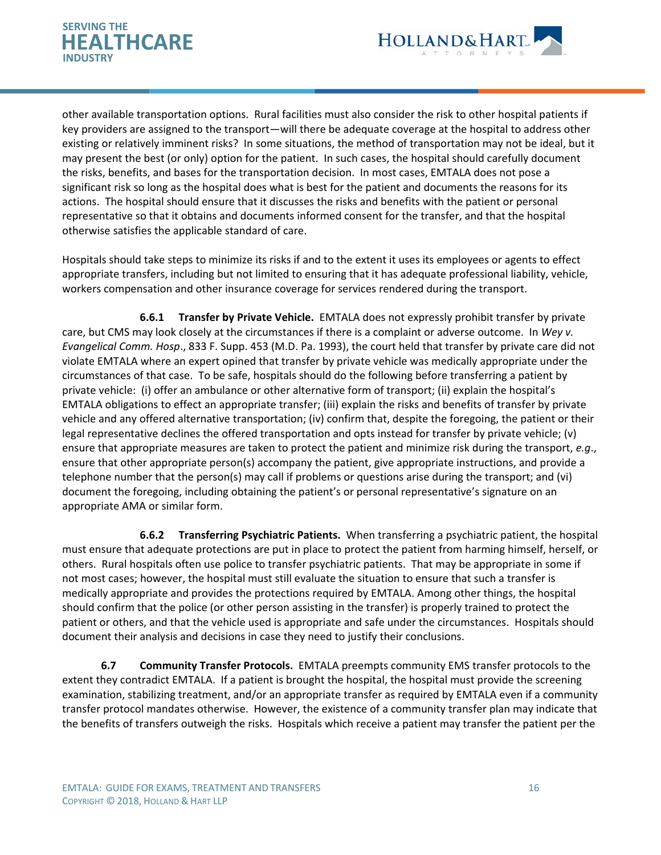



other available transportation options. Rural facilities must also consider the risk to other hospital patients if key providers are assigned to the transport—will there be adequate coverage at the hospital to address other existing or relatively imminent risks? In some situations, the method of transportation may not be ideal, but it may present the best (or only) option for the patient. In such cases, the hospital should carefully document the risks, benefits, and bases for the transportation decision. In most cases, EMTALA does not pose a significant risk so long as the hospital does what is best for the patient and documents the reasons for its actions. The hospital should ensure that it discusses the risks and benefits with the patient or personal representative so that it obtains and documents informed consent for the transfer, and that the hospital otherwise satisfies the applicable standard of care.

Hospitals should take steps to minimize its risks if and to the extent it uses its employees or agents to effect appropriate transfers, including but not limited to ensuring that it has adequate professional liability, vehicle, workers compensation and other insurance coverage for services rendered during the transport.

**6.6.1 Transfer by Private Vehicle.** EMTALA does not expressly prohibit transfer by private care, but CMS may look closely at the circumstances if there is a complaint or adverse outcome. In *Wey v. Evangelical Comm. Hosp*., 833 F. Supp. 453 (M.D. Pa. 1993), the court held that transfer by private care did not violate EMTALA where an expert opined that transfer by private vehicle was medically appropriate under the circumstances of that case. To be safe, hospitals should do the following before transferring a patient by private vehicle: (i) offer an ambulance or other alternative form of transport; (ii) explain the hospital's EMTALA obligations to effect an appropriate transfer; (iii) explain the risks and benefits of transfer by private vehicle and any offered alternative transportation; (iv) confirm that, despite the foregoing, the patient or their legal representative declines the offered transportation and opts instead for transfer by private vehicle; (v) ensure that appropriate measures are taken to protect the patient and minimize risk during the transport, *e.g*., ensure that other appropriate person(s) accompany the patient, give appropriate instructions, and provide a telephone number that the person(s) may call if problems or questions arise during the transport; and (vi) document the foregoing, including obtaining the patient's or personal representative's signature on an appropriate AMA or similar form.

**6.6.2 Transferring Psychiatric Patients.** When transferring a psychiatric patient, the hospital must ensure that adequate protections are put in place to protect the patient from harming himself, herself, or others. Rural hospitals often use police to transfer psychiatric patients. That may be appropriate in some if not most cases; however, the hospital must still evaluate the situation to ensure that such a transfer is medically appropriate and provides the protections required by EMTALA. Among other things, the hospital should confirm that the police (or other person assisting in the transfer) is properly trained to protect the patient or others, and that the vehicle used is appropriate and safe under the circumstances. Hospitals should document their analysis and decisions in case they need to justify their conclusions.

**6.7 Community Transfer Protocols.** EMTALA preempts community EMS transfer protocols to the extent they contradict EMTALA. If a patient is brought the hospital, the hospital must provide the screening examination, stabilizing treatment, and/or an appropriate transfer as required by EMTALA even if a community transfer protocol mandates otherwise. However, the existence of a community transfer plan may indicate that the benefits of transfers outweigh the risks. Hospitals which receive a patient may transfer the patient per the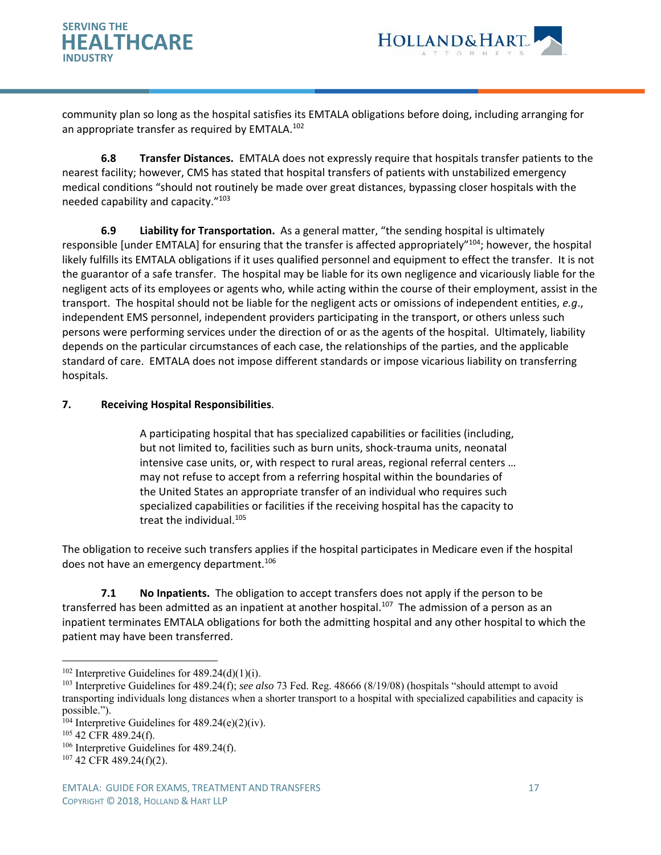



community plan so long as the hospital satisfies its EMTALA obligations before doing, including arranging for an appropriate transfer as required by EMTALA.<sup>102</sup>

**6.8 Transfer Distances.** EMTALA does not expressly require that hospitals transfer patients to the nearest facility; however, CMS has stated that hospital transfers of patients with unstabilized emergency medical conditions "should not routinely be made over great distances, bypassing closer hospitals with the needed capability and capacity."103

**6.9 Liability for Transportation.** As a general matter, "the sending hospital is ultimately responsible [under EMTALA] for ensuring that the transfer is affected appropriately"<sup>104</sup>; however, the hospital likely fulfills its EMTALA obligations if it uses qualified personnel and equipment to effect the transfer. It is not the guarantor of a safe transfer. The hospital may be liable for its own negligence and vicariously liable for the negligent acts of its employees or agents who, while acting within the course of their employment, assist in the transport. The hospital should not be liable for the negligent acts or omissions of independent entities, *e.g*., independent EMS personnel, independent providers participating in the transport, or others unless such persons were performing services under the direction of or as the agents of the hospital. Ultimately, liability depends on the particular circumstances of each case, the relationships of the parties, and the applicable standard of care. EMTALA does not impose different standards or impose vicarious liability on transferring hospitals.

## **7. Receiving Hospital Responsibilities**.

A participating hospital that has specialized capabilities or facilities (including, but not limited to, facilities such as burn units, shock‐trauma units, neonatal intensive case units, or, with respect to rural areas, regional referral centers … may not refuse to accept from a referring hospital within the boundaries of the United States an appropriate transfer of an individual who requires such specialized capabilities or facilities if the receiving hospital has the capacity to treat the individual.<sup>105</sup>

The obligation to receive such transfers applies if the hospital participates in Medicare even if the hospital does not have an emergency department.<sup>106</sup>

**7.1 No Inpatients.** The obligation to accept transfers does not apply if the person to be transferred has been admitted as an inpatient at another hospital.<sup>107</sup> The admission of a person as an inpatient terminates EMTALA obligations for both the admitting hospital and any other hospital to which the patient may have been transferred.

 $102$  Interpretive Guidelines for 489.24(d)(1)(i).

<sup>103</sup> Interpretive Guidelines for 489.24(f); *see also* 73 Fed. Reg. 48666 (8/19/08) (hospitals "should attempt to avoid transporting individuals long distances when a shorter transport to a hospital with specialized capabilities and capacity is possible.").

 $104$  Interpretive Guidelines for 489.24(e)(2)(iv).

 $105$  42 CFR 489.24(f).

<sup>&</sup>lt;sup>106</sup> Interpretive Guidelines for 489.24(f).

<sup>107 42</sup> CFR 489.24(f)(2).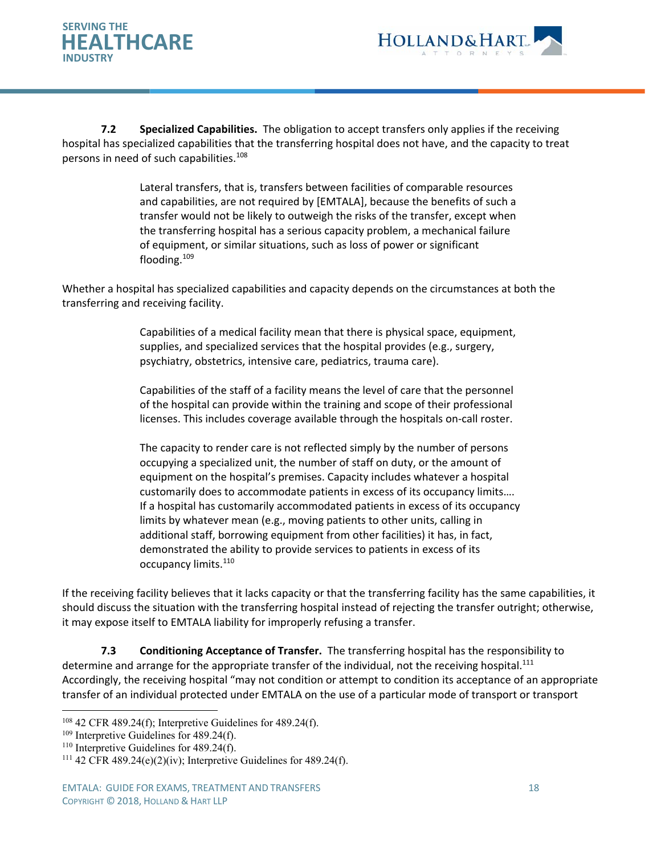



 **7.2 Specialized Capabilities.** The obligation to accept transfers only applies if the receiving hospital has specialized capabilities that the transferring hospital does not have, and the capacity to treat persons in need of such capabilities.<sup>108</sup>

> Lateral transfers, that is, transfers between facilities of comparable resources and capabilities, are not required by [EMTALA], because the benefits of such a transfer would not be likely to outweigh the risks of the transfer, except when the transferring hospital has a serious capacity problem, a mechanical failure of equipment, or similar situations, such as loss of power or significant flooding.109

Whether a hospital has specialized capabilities and capacity depends on the circumstances at both the transferring and receiving facility.

> Capabilities of a medical facility mean that there is physical space, equipment, supplies, and specialized services that the hospital provides (e.g., surgery, psychiatry, obstetrics, intensive care, pediatrics, trauma care).

> Capabilities of the staff of a facility means the level of care that the personnel of the hospital can provide within the training and scope of their professional licenses. This includes coverage available through the hospitals on‐call roster.

The capacity to render care is not reflected simply by the number of persons occupying a specialized unit, the number of staff on duty, or the amount of equipment on the hospital's premises. Capacity includes whatever a hospital customarily does to accommodate patients in excess of its occupancy limits…. If a hospital has customarily accommodated patients in excess of its occupancy limits by whatever mean (e.g., moving patients to other units, calling in additional staff, borrowing equipment from other facilities) it has, in fact, demonstrated the ability to provide services to patients in excess of its occupancy limits.<sup>110</sup>

If the receiving facility believes that it lacks capacity or that the transferring facility has the same capabilities, it should discuss the situation with the transferring hospital instead of rejecting the transfer outright; otherwise, it may expose itself to EMTALA liability for improperly refusing a transfer.

**7.3 Conditioning Acceptance of Transfer.** The transferring hospital has the responsibility to determine and arrange for the appropriate transfer of the individual, not the receiving hospital.<sup>111</sup> Accordingly, the receiving hospital "may not condition or attempt to condition its acceptance of an appropriate transfer of an individual protected under EMTALA on the use of a particular mode of transport or transport

 $108$  42 CFR 489.24(f); Interpretive Guidelines for 489.24(f).

<sup>&</sup>lt;sup>109</sup> Interpretive Guidelines for 489.24(f).

<sup>&</sup>lt;sup>110</sup> Interpretive Guidelines for 489.24(f).<br><sup>111</sup> 42 CFR 489.24(e)(2)(iv); Interpretive Guidelines for 489.24(f).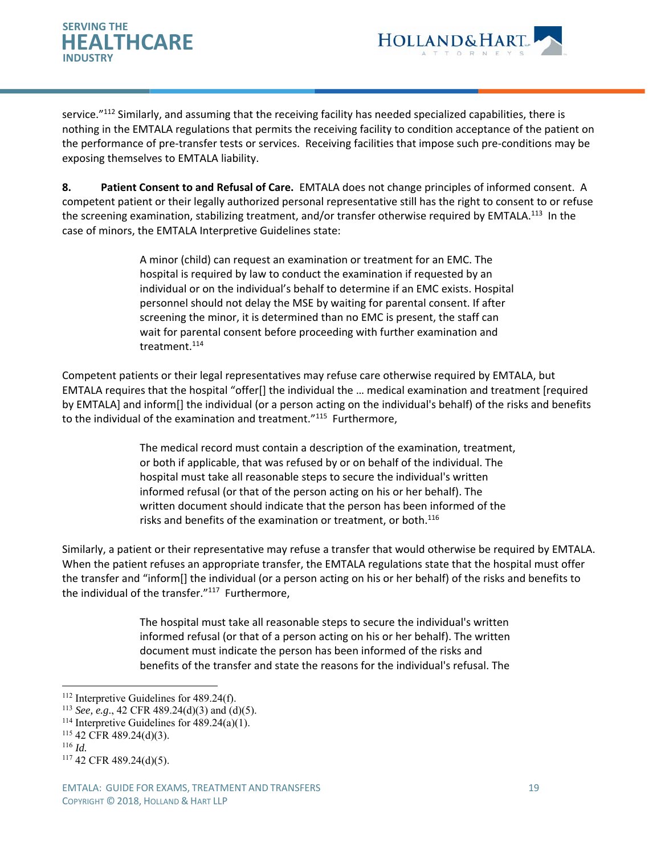



service."112 Similarly, and assuming that the receiving facility has needed specialized capabilities, there is nothing in the EMTALA regulations that permits the receiving facility to condition acceptance of the patient on the performance of pre‐transfer tests or services. Receiving facilities that impose such pre‐conditions may be exposing themselves to EMTALA liability.

**8. Patient Consent to and Refusal of Care.** EMTALA does not change principles of informed consent. A competent patient or their legally authorized personal representative still has the right to consent to or refuse the screening examination, stabilizing treatment, and/or transfer otherwise required by EMTALA.<sup>113</sup> In the case of minors, the EMTALA Interpretive Guidelines state:

> A minor (child) can request an examination or treatment for an EMC. The hospital is required by law to conduct the examination if requested by an individual or on the individual's behalf to determine if an EMC exists. Hospital personnel should not delay the MSE by waiting for parental consent. If after screening the minor, it is determined than no EMC is present, the staff can wait for parental consent before proceeding with further examination and treatment.<sup>114</sup>

Competent patients or their legal representatives may refuse care otherwise required by EMTALA, but EMTALA requires that the hospital "offer[] the individual the … medical examination and treatment [required by EMTALA] and inform[] the individual (or a person acting on the individual's behalf) of the risks and benefits to the individual of the examination and treatment."<sup>115</sup> Furthermore,

> The medical record must contain a description of the examination, treatment, or both if applicable, that was refused by or on behalf of the individual. The hospital must take all reasonable steps to secure the individual's written informed refusal (or that of the person acting on his or her behalf). The written document should indicate that the person has been informed of the risks and benefits of the examination or treatment, or both.<sup>116</sup>

Similarly, a patient or their representative may refuse a transfer that would otherwise be required by EMTALA. When the patient refuses an appropriate transfer, the EMTALA regulations state that the hospital must offer the transfer and "inform[] the individual (or a person acting on his or her behalf) of the risks and benefits to the individual of the transfer."<sup>117</sup> Furthermore,

> The hospital must take all reasonable steps to secure the individual's written informed refusal (or that of a person acting on his or her behalf). The written document must indicate the person has been informed of the risks and benefits of the transfer and state the reasons for the individual's refusal. The

<sup>&</sup>lt;sup>112</sup> Interpretive Guidelines for 489.24(f).

<sup>113</sup> *See, e.g*., 42 CFR 489.24(d)(3) and (d)(5). 114 Interpretive Guidelines for 489.24(a)(1).

<sup>115 42</sup> CFR 489.24(d)(3).

<sup>116</sup> *Id.*

<sup>117 42</sup> CFR 489.24(d)(5).